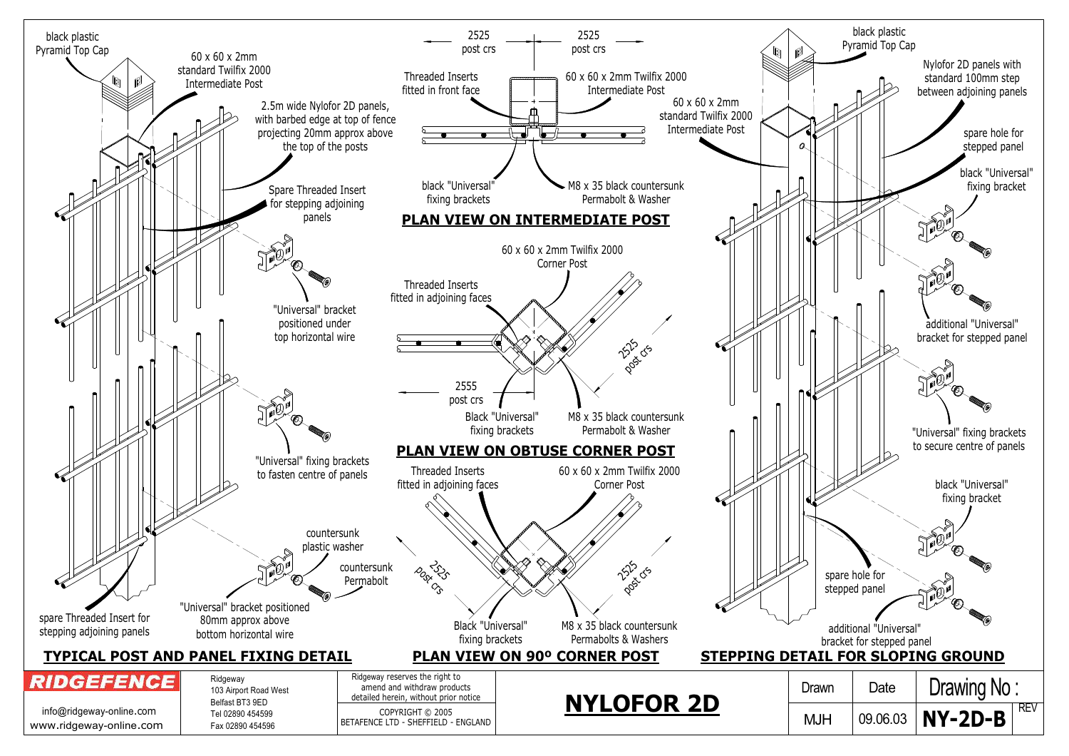